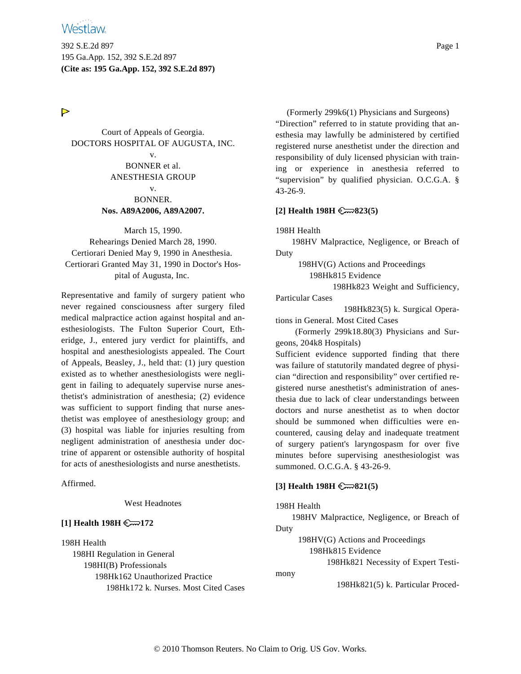392 S.E.2d 897 Page 1 195 Ga.App. 152, 392 S.E.2d 897 **(Cite as: 195 Ga.App. 152, 392 S.E.2d 897)**

# $\triangleright$

Court of Appeals of Georgia. DOCTORS HOSPITAL OF AUGUSTA, INC. v. BONNER et al. ANESTHESIA GROUP v. BONNER. **Nos. A89A2006, A89A2007.**

March 15, 1990. Rehearings Denied March 28, 1990. Certiorari Denied May 9, 1990 in Anesthesia. Certiorari Granted May 31, 1990 in Doctor's Hospital of Augusta, Inc.

Representative and family of surgery patient who never regained consciousness after surgery filed medical malpractice action against hospital and anesthesiologists. The Fulton Superior Court, Etheridge, J., entered jury verdict for plaintiffs, and hospital and anesthesiologists appealed. The Court of Appeals, Beasley, J., held that: (1) jury question existed as to whether anesthesiologists were negligent in failing to adequately supervise nurse anesthetist's administration of anesthesia; (2) evidence was sufficient to support finding that nurse anesthetist was employee of anesthesiology group; and (3) hospital was liable for injuries resulting from negligent administration of anesthesia under doctrine of apparent or ostensible authority of hospital for acts of anesthesiologists and nurse anesthetists.

Affirmed.

West Headnotes

# **[1] Health 198H 172**

198H Health 198HI Regulation in General 198HI(B) Professionals 198Hk162 Unauthorized Practice 198Hk172 k. Nurses. Most Cited Cases

(Formerly 299k6(1) Physicians and Surgeons) "Direction" referred to in statute providing that anesthesia may lawfully be administered by certified registered nurse anesthetist under the direction and responsibility of duly licensed physician with training or experience in anesthesia referred to "supervision" by qualified physician. O.C.G.A. § 43-26-9.

### **[2] Health 198H 823(5)**

198H Health

198HV Malpractice, Negligence, or Breach of Duty

198HV(G) Actions and Proceedings

198Hk815 Evidence

198Hk823 Weight and Sufficiency,

Particular Cases

198Hk823(5) k. Surgical Operations in General. Most Cited Cases

(Formerly 299k18.80(3) Physicians and Surgeons, 204k8 Hospitals)

Sufficient evidence supported finding that there was failure of statutorily mandated degree of physician "direction and responsibility" over certified registered nurse anesthetist's administration of anesthesia due to lack of clear understandings between doctors and nurse anesthetist as to when doctor should be summoned when difficulties were encountered, causing delay and inadequate treatment of surgery patient's laryngospasm for over five minutes before supervising anesthesiologist was summoned. O.C.G.A. § 43-26-9.

### **[3] Health 198H 821(5)**

#### 198H Health

198HV Malpractice, Negligence, or Breach of Duty

198HV(G) Actions and Proceedings

198Hk815 Evidence

198Hk821 Necessity of Expert Testi-

mony

198Hk821(5) k. Particular Proced-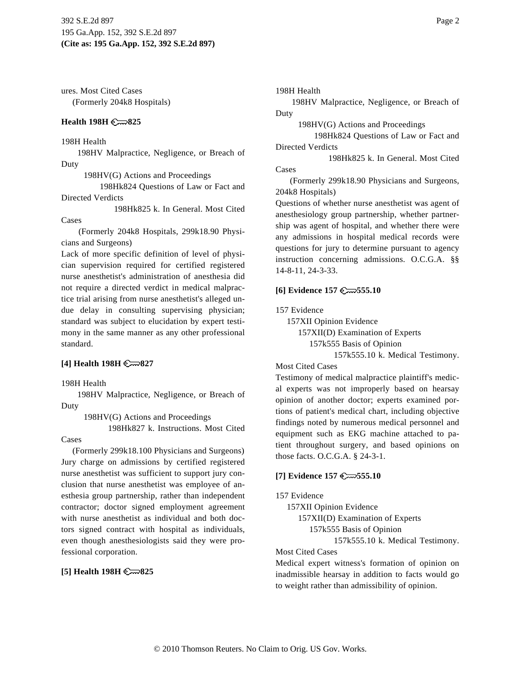ures. Most Cited Cases (Formerly 204k8 Hospitals)

### **Health 198H 825**

198H Health

198HV Malpractice, Negligence, or Breach of Duty

198HV(G) Actions and Proceedings

198Hk824 Questions of Law or Fact and Directed Verdicts

198Hk825 k. In General. Most Cited Cases

(Formerly 204k8 Hospitals, 299k18.90 Physicians and Surgeons)

Lack of more specific definition of level of physician supervision required for certified registered nurse anesthetist's administration of anesthesia did not require a directed verdict in medical malpractice trial arising from nurse anesthetist's alleged undue delay in consulting supervising physician; standard was subject to elucidation by expert testimony in the same manner as any other professional standard.

# **[4] Health 198H 827**

198H Health

198HV Malpractice, Negligence, or Breach of Duty

198HV(G) Actions and Proceedings

198Hk827 k. Instructions. Most Cited

Cases

(Formerly 299k18.100 Physicians and Surgeons) Jury charge on admissions by certified registered nurse anesthetist was sufficient to support jury conclusion that nurse anesthetist was employee of anesthesia group partnership, rather than independent contractor; doctor signed employment agreement with nurse anesthetist as individual and both doctors signed contract with hospital as individuals, even though anesthesiologists said they were professional corporation.

# **[5] Health 198H 825**

198H Health

198HV Malpractice, Negligence, or Breach of Duty

198HV(G) Actions and Proceedings

198Hk824 Questions of Law or Fact and Directed Verdicts

198Hk825 k. In General. Most Cited **Cases** 

(Formerly 299k18.90 Physicians and Surgeons, 204k8 Hospitals)

Questions of whether nurse anesthetist was agent of anesthesiology group partnership, whether partnership was agent of hospital, and whether there were any admissions in hospital medical records were questions for jury to determine pursuant to agency instruction concerning admissions. O.C.G.A. §§ 14-8-11, 24-3-33.

## **[6] Evidence 157 555.10**

157 Evidence

157XII Opinion Evidence 157XII(D) Examination of Experts 157k555 Basis of Opinion

157k555.10 k. Medical Testimony.

# Most Cited Cases

Testimony of medical malpractice plaintiff's medical experts was not improperly based on hearsay opinion of another doctor; experts examined portions of patient's medical chart, including objective findings noted by numerous medical personnel and equipment such as EKG machine attached to patient throughout surgery, and based opinions on those facts. O.C.G.A. § 24-3-1.

# **[7] Evidence 157 555.10**

157 Evidence

157XII Opinion Evidence

157XII(D) Examination of Experts

157k555 Basis of Opinion

157k555.10 k. Medical Testimony.

#### Most Cited Cases

Medical expert witness's formation of opinion on inadmissible hearsay in addition to facts would go to weight rather than admissibility of opinion.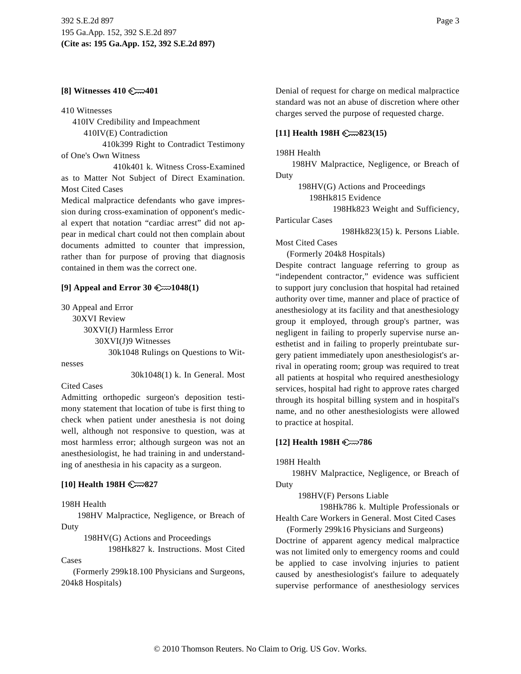#### **[8] Witnesses 410 401**

410 Witnesses

410IV Credibility and Impeachment

410IV(E) Contradiction

410k399 Right to Contradict Testimony of One's Own Witness

410k401 k. Witness Cross-Examined as to Matter Not Subject of Direct Examination. Most Cited Cases

Medical malpractice defendants who gave impression during cross-examination of opponent's medical expert that notation "cardiac arrest" did not appear in medical chart could not then complain about documents admitted to counter that impression, rather than for purpose of proving that diagnosis contained in them was the correct one.

#### **[9] Appeal and Error 30**  $\mathbb{C}\rightarrow\mathbb{C}1048(1)$

30 Appeal and Error 30XVI Review 30XVI(J) Harmless Error 30XVI(J)9 Witnesses 30k1048 Rulings on Questions to Wit-

nesses

30k1048(1) k. In General. Most

#### Cited Cases

Admitting orthopedic surgeon's deposition testimony statement that location of tube is first thing to check when patient under anesthesia is not doing well, although not responsive to question, was at most harmless error; although surgeon was not an anesthesiologist, he had training in and understanding of anesthesia in his capacity as a surgeon.

#### **[10] Health 198H 827**

198H Health

198HV Malpractice, Negligence, or Breach of Duty

198HV(G) Actions and Proceedings

198Hk827 k. Instructions. Most Cited

Cases

(Formerly 299k18.100 Physicians and Surgeons, 204k8 Hospitals)

Denial of request for charge on medical malpractice standard was not an abuse of discretion where other charges served the purpose of requested charge.

#### **[11] Health 198H 823(15)**

198H Health

198HV Malpractice, Negligence, or Breach of Duty

198HV(G) Actions and Proceedings

198Hk815 Evidence

198Hk823 Weight and Sufficiency,

Particular Cases

198Hk823(15) k. Persons Liable.

Most Cited Cases

(Formerly 204k8 Hospitals)

Despite contract language referring to group as "independent contractor," evidence was sufficient to support jury conclusion that hospital had retained authority over time, manner and place of practice of anesthesiology at its facility and that anesthesiology group it employed, through group's partner, was negligent in failing to properly supervise nurse anesthetist and in failing to properly preintubate surgery patient immediately upon anesthesiologist's arrival in operating room; group was required to treat all patients at hospital who required anesthesiology services, hospital had right to approve rates charged through its hospital billing system and in hospital's name, and no other anesthesiologists were allowed to practice at hospital.

#### **[12] Health 198H 786**

198H Health

198HV Malpractice, Negligence, or Breach of Duty

198HV(F) Persons Liable

198Hk786 k. Multiple Professionals or Health Care Workers in General. Most Cited Cases

(Formerly 299k16 Physicians and Surgeons) Doctrine of apparent agency medical malpractice was not limited only to emergency rooms and could be applied to case involving injuries to patient caused by anesthesiologist's failure to adequately supervise performance of anesthesiology services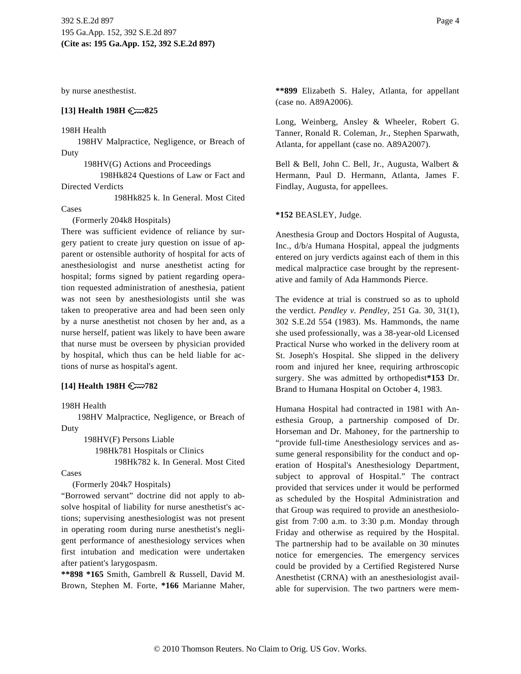by nurse anesthestist.

#### **[13] Health 198H 825**

#### 198H Health

198HV Malpractice, Negligence, or Breach of Duty

198HV(G) Actions and Proceedings

198Hk824 Questions of Law or Fact and Directed Verdicts

198Hk825 k. In General. Most Cited

#### Cases

(Formerly 204k8 Hospitals)

There was sufficient evidence of reliance by surgery patient to create jury question on issue of apparent or ostensible authority of hospital for acts of anesthesiologist and nurse anesthetist acting for hospital; forms signed by patient regarding operation requested administration of anesthesia, patient was not seen by anesthesiologists until she was taken to preoperative area and had been seen only by a nurse anesthetist not chosen by her and, as a nurse herself, patient was likely to have been aware that nurse must be overseen by physician provided by hospital, which thus can be held liable for actions of nurse as hospital's agent.

#### **[14] Health 198H 782**

198H Health

198HV Malpractice, Negligence, or Breach of Duty

> 198HV(F) Persons Liable 198Hk781 Hospitals or Clinics 198Hk782 k. In General. Most Cited

#### Cases

(Formerly 204k7 Hospitals)

"Borrowed servant" doctrine did not apply to absolve hospital of liability for nurse anesthetist's actions; supervising anesthesiologist was not present in operating room during nurse anesthetist's negligent performance of anesthesiology services when first intubation and medication were undertaken after patient's larygospasm.

**\*\*898 \*165** Smith, Gambrell & Russell, David M. Brown, Stephen M. Forte, **\*166** Marianne Maher, **\*\*899** Elizabeth S. Haley, Atlanta, for appellant (case no. A89A2006).

Long, Weinberg, Ansley & Wheeler, Robert G. Tanner, Ronald R. Coleman, Jr., Stephen Sparwath, Atlanta, for appellant (case no. A89A2007).

Bell & Bell, John C. Bell, Jr., Augusta, Walbert & Hermann, Paul D. Hermann, Atlanta, James F. Findlay, Augusta, for appellees.

#### **\*152** BEASLEY, Judge.

Anesthesia Group and Doctors Hospital of Augusta, Inc., d/b/a Humana Hospital, appeal the judgments entered on jury verdicts against each of them in this medical malpractice case brought by the representative and family of Ada Hammonds Pierce.

The evidence at trial is construed so as to uphold the verdict. *Pendley v. Pendley,* 251 Ga. 30, 31(1), 302 S.E.2d 554 (1983). Ms. Hammonds, the name she used professionally, was a 38-year-old Licensed Practical Nurse who worked in the delivery room at St. Joseph's Hospital. She slipped in the delivery room and injured her knee, requiring arthroscopic surgery. She was admitted by orthopedist**\*153** Dr. Brand to Humana Hospital on October 4, 1983.

Humana Hospital had contracted in 1981 with Anesthesia Group, a partnership composed of Dr. Horseman and Dr. Mahoney, for the partnership to "provide full-time Anesthesiology services and assume general responsibility for the conduct and operation of Hospital's Anesthesiology Department, subject to approval of Hospital." The contract provided that services under it would be performed as scheduled by the Hospital Administration and that Group was required to provide an anesthesiologist from 7:00 a.m. to 3:30 p.m. Monday through Friday and otherwise as required by the Hospital. The partnership had to be available on 30 minutes notice for emergencies. The emergency services could be provided by a Certified Registered Nurse Anesthetist (CRNA) with an anesthesiologist available for supervision. The two partners were mem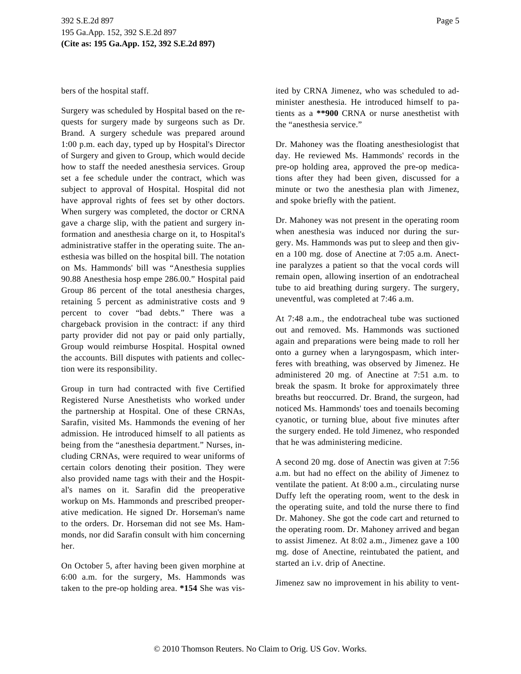bers of the hospital staff.

Surgery was scheduled by Hospital based on the requests for surgery made by surgeons such as Dr. Brand. A surgery schedule was prepared around 1:00 p.m. each day, typed up by Hospital's Director of Surgery and given to Group, which would decide how to staff the needed anesthesia services. Group set a fee schedule under the contract, which was subject to approval of Hospital. Hospital did not have approval rights of fees set by other doctors. When surgery was completed, the doctor or CRNA gave a charge slip, with the patient and surgery information and anesthesia charge on it, to Hospital's administrative staffer in the operating suite. The anesthesia was billed on the hospital bill. The notation on Ms. Hammonds' bill was "Anesthesia supplies 90.88 Anesthesia hosp empe 286.00." Hospital paid Group 86 percent of the total anesthesia charges, retaining 5 percent as administrative costs and 9 percent to cover "bad debts." There was a chargeback provision in the contract: if any third party provider did not pay or paid only partially, Group would reimburse Hospital. Hospital owned the accounts. Bill disputes with patients and collection were its responsibility.

Group in turn had contracted with five Certified Registered Nurse Anesthetists who worked under the partnership at Hospital. One of these CRNAs, Sarafin, visited Ms. Hammonds the evening of her admission. He introduced himself to all patients as being from the "anesthesia department." Nurses, including CRNAs, were required to wear uniforms of certain colors denoting their position. They were also provided name tags with their and the Hospital's names on it. Sarafin did the preoperative workup on Ms. Hammonds and prescribed preoperative medication. He signed Dr. Horseman's name to the orders. Dr. Horseman did not see Ms. Hammonds, nor did Sarafin consult with him concerning her.

On October 5, after having been given morphine at 6:00 a.m. for the surgery, Ms. Hammonds was taken to the pre-op holding area. **\*154** She was visited by CRNA Jimenez, who was scheduled to administer anesthesia. He introduced himself to patients as a **\*\*900** CRNA or nurse anesthetist with the "anesthesia service."

Dr. Mahoney was the floating anesthesiologist that day. He reviewed Ms. Hammonds' records in the pre-op holding area, approved the pre-op medications after they had been given, discussed for a minute or two the anesthesia plan with Jimenez, and spoke briefly with the patient.

Dr. Mahoney was not present in the operating room when anesthesia was induced nor during the surgery. Ms. Hammonds was put to sleep and then given a 100 mg. dose of Anectine at 7:05 a.m. Anectine paralyzes a patient so that the vocal cords will remain open, allowing insertion of an endotracheal tube to aid breathing during surgery. The surgery, uneventful, was completed at 7:46 a.m.

At 7:48 a.m., the endotracheal tube was suctioned out and removed. Ms. Hammonds was suctioned again and preparations were being made to roll her onto a gurney when a laryngospasm, which interferes with breathing, was observed by Jimenez. He administered 20 mg. of Anectine at 7:51 a.m. to break the spasm. It broke for approximately three breaths but reoccurred. Dr. Brand, the surgeon, had noticed Ms. Hammonds' toes and toenails becoming cyanotic, or turning blue, about five minutes after the surgery ended. He told Jimenez, who responded that he was administering medicine.

A second 20 mg. dose of Anectin was given at 7:56 a.m. but had no effect on the ability of Jimenez to ventilate the patient. At 8:00 a.m., circulating nurse Duffy left the operating room, went to the desk in the operating suite, and told the nurse there to find Dr. Mahoney. She got the code cart and returned to the operating room. Dr. Mahoney arrived and began to assist Jimenez. At 8:02 a.m., Jimenez gave a 100 mg. dose of Anectine, reintubated the patient, and started an i.v. drip of Anectine.

Jimenez saw no improvement in his ability to vent-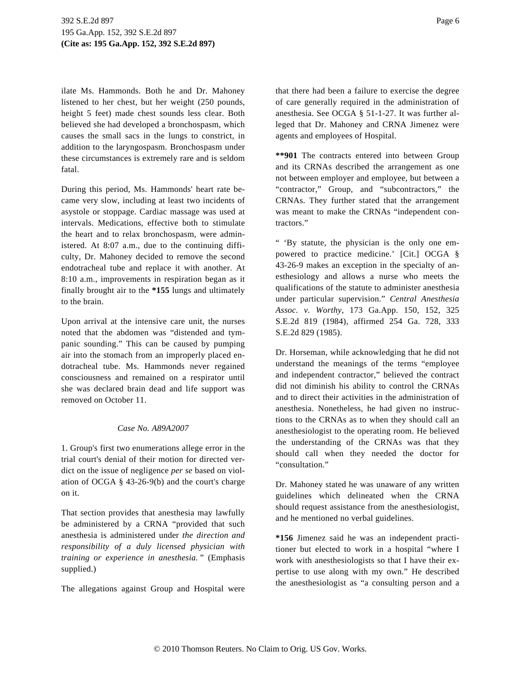ilate Ms. Hammonds. Both he and Dr. Mahoney listened to her chest, but her weight (250 pounds, height 5 feet) made chest sounds less clear. Both believed she had developed a bronchospasm, which causes the small sacs in the lungs to constrict, in addition to the laryngospasm. Bronchospasm under these circumstances is extremely rare and is seldom fatal.

During this period, Ms. Hammonds' heart rate became very slow, including at least two incidents of asystole or stoppage. Cardiac massage was used at intervals. Medications, effective both to stimulate the heart and to relax bronchospasm, were administered. At 8:07 a.m., due to the continuing difficulty, Dr. Mahoney decided to remove the second endotracheal tube and replace it with another. At 8:10 a.m., improvements in respiration began as it finally brought air to the **\*155** lungs and ultimately to the brain.

Upon arrival at the intensive care unit, the nurses noted that the abdomen was "distended and tympanic sounding." This can be caused by pumping air into the stomach from an improperly placed endotracheal tube. Ms. Hammonds never regained consciousness and remained on a respirator until she was declared brain dead and life support was removed on October 11.

# *Case No. A89A2007*

1. Group's first two enumerations allege error in the trial court's denial of their motion for directed verdict on the issue of negligence *per se* based on violation of OCGA § 43-26-9(b) and the court's charge on it.

That section provides that anesthesia may lawfully be administered by a CRNA "provided that such anesthesia is administered under *the direction and responsibility of a duly licensed physician with training or experience in anesthesia.* " (Emphasis supplied.)

The allegations against Group and Hospital were

that there had been a failure to exercise the degree of care generally required in the administration of anesthesia. See OCGA § 51-1-27. It was further alleged that Dr. Mahoney and CRNA Jimenez were agents and employees of Hospital.

**\*\*901** The contracts entered into between Group and its CRNAs described the arrangement as one not between employer and employee, but between a "contractor," Group, and "subcontractors," the CRNAs. They further stated that the arrangement was meant to make the CRNAs "independent contractors."

" 'By statute, the physician is the only one empowered to practice medicine.' [Cit.] OCGA § 43-26-9 makes an exception in the specialty of anesthesiology and allows a nurse who meets the qualifications of the statute to administer anesthesia under particular supervision." *Central Anesthesia Assoc. v. Worthy,* 173 Ga.App. 150, 152, 325 S.E.2d 819 (1984), affirmed 254 Ga. 728, 333 S.E.2d 829 (1985).

Dr. Horseman, while acknowledging that he did not understand the meanings of the terms "employee and independent contractor," believed the contract did not diminish his ability to control the CRNAs and to direct their activities in the administration of anesthesia. Nonetheless, he had given no instructions to the CRNAs as to when they should call an anesthesiologist to the operating room. He believed the understanding of the CRNAs was that they should call when they needed the doctor for "consultation."

Dr. Mahoney stated he was unaware of any written guidelines which delineated when the CRNA should request assistance from the anesthesiologist, and he mentioned no verbal guidelines.

**\*156** Jimenez said he was an independent practitioner but elected to work in a hospital "where I work with anesthesiologists so that I have their expertise to use along with my own." He described the anesthesiologist as "a consulting person and a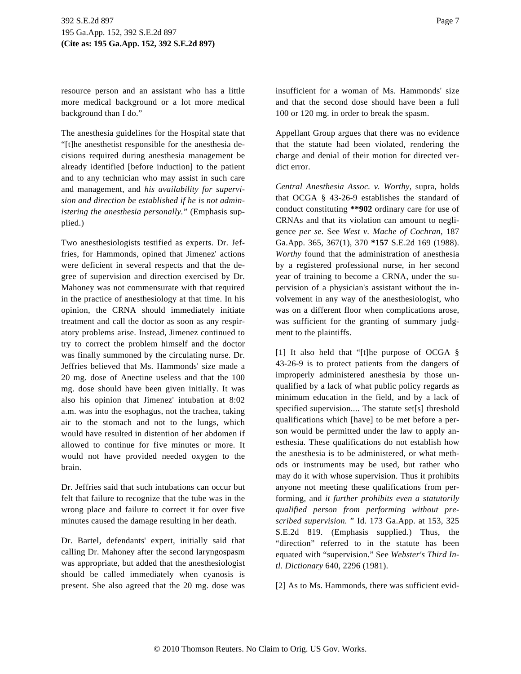resource person and an assistant who has a little more medical background or a lot more medical background than I do."

The anesthesia guidelines for the Hospital state that "[t]he anesthetist responsible for the anesthesia decisions required during anesthesia management be already identified [before induction] to the patient and to any technician who may assist in such care and management, and *his availability for supervision and direction be established if he is not administering the anesthesia personally.*" (Emphasis supplied.)

Two anesthesiologists testified as experts. Dr. Jeffries, for Hammonds, opined that Jimenez' actions were deficient in several respects and that the degree of supervision and direction exercised by Dr. Mahoney was not commensurate with that required in the practice of anesthesiology at that time. In his opinion, the CRNA should immediately initiate treatment and call the doctor as soon as any respiratory problems arise. Instead, Jimenez continued to try to correct the problem himself and the doctor was finally summoned by the circulating nurse. Dr. Jeffries believed that Ms. Hammonds' size made a 20 mg. dose of Anectine useless and that the 100 mg. dose should have been given initially. It was also his opinion that Jimenez' intubation at 8:02 a.m. was into the esophagus, not the trachea, taking air to the stomach and not to the lungs, which would have resulted in distention of her abdomen if allowed to continue for five minutes or more. It would not have provided needed oxygen to the brain.

Dr. Jeffries said that such intubations can occur but felt that failure to recognize that the tube was in the wrong place and failure to correct it for over five minutes caused the damage resulting in her death.

Dr. Bartel, defendants' expert, initially said that calling Dr. Mahoney after the second laryngospasm was appropriate, but added that the anesthesiologist should be called immediately when cyanosis is present. She also agreed that the 20 mg. dose was insufficient for a woman of Ms. Hammonds' size and that the second dose should have been a full 100 or 120 mg. in order to break the spasm.

Appellant Group argues that there was no evidence that the statute had been violated, rendering the charge and denial of their motion for directed verdict error.

*Central Anesthesia Assoc. v. Worthy,* supra, holds that OCGA § 43-26-9 establishes the standard of conduct constituting **\*\*902** ordinary care for use of CRNAs and that its violation can amount to negligence *per se.* See *West v. Mache of Cochran,* 187 Ga.App. 365, 367(1), 370 **\*157** S.E.2d 169 (1988). *Worthy* found that the administration of anesthesia by a registered professional nurse, in her second year of training to become a CRNA, under the supervision of a physician's assistant without the involvement in any way of the anesthesiologist, who was on a different floor when complications arose, was sufficient for the granting of summary judgment to the plaintiffs.

[1] It also held that "[t]he purpose of OCGA § 43-26-9 is to protect patients from the dangers of improperly administered anesthesia by those unqualified by a lack of what public policy regards as minimum education in the field, and by a lack of specified supervision.... The statute set[s] threshold qualifications which [have] to be met before a person would be permitted under the law to apply anesthesia. These qualifications do not establish how the anesthesia is to be administered, or what methods or instruments may be used, but rather who may do it with whose supervision. Thus it prohibits anyone not meeting these qualifications from performing, and *it further prohibits even a statutorily qualified person from performing without prescribed supervision.* " Id. 173 Ga.App. at 153, 325 S.E.2d 819. (Emphasis supplied.) Thus, the "direction" referred to in the statute has been equated with "supervision." See *Webster's Third Intl. Dictionary* 640, 2296 (1981).

[2] As to Ms. Hammonds, there was sufficient evid-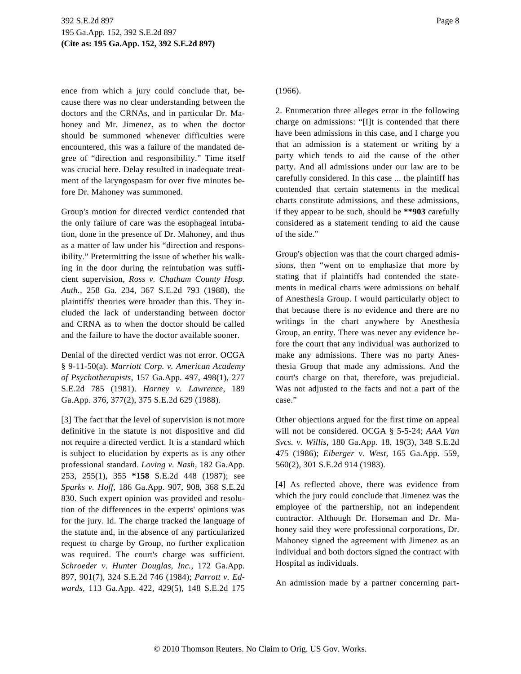ence from which a jury could conclude that, because there was no clear understanding between the doctors and the CRNAs, and in particular Dr. Mahoney and Mr. Jimenez, as to when the doctor should be summoned whenever difficulties were encountered, this was a failure of the mandated degree of "direction and responsibility." Time itself was crucial here. Delay resulted in inadequate treatment of the laryngospasm for over five minutes before Dr. Mahoney was summoned.

Group's motion for directed verdict contended that the only failure of care was the esophageal intubation, done in the presence of Dr. Mahoney, and thus as a matter of law under his "direction and responsibility." Pretermitting the issue of whether his walking in the door during the reintubation was sufficient supervision, *Ross v. Chatham County Hosp. Auth.,* 258 Ga. 234, 367 S.E.2d 793 (1988), the plaintiffs' theories were broader than this. They included the lack of understanding between doctor and CRNA as to when the doctor should be called and the failure to have the doctor available sooner.

Denial of the directed verdict was not error. OCGA § 9-11-50(a). *Marriott Corp. v. American Academy of Psychotherapists,* 157 Ga.App. 497, 498(1), 277 S.E.2d 785 (1981). *Horney v. Lawrence,* 189 Ga.App. 376, 377(2), 375 S.E.2d 629 (1988).

[3] The fact that the level of supervision is not more definitive in the statute is not dispositive and did not require a directed verdict. It is a standard which is subject to elucidation by experts as is any other professional standard. *Loving v. Nash,* 182 Ga.App. 253, 255(1), 355 **\*158** S.E.2d 448 (1987); see *Sparks v. Hoff,* 186 Ga.App. 907, 908, 368 S.E.2d 830. Such expert opinion was provided and resolution of the differences in the experts' opinions was for the jury. Id. The charge tracked the language of the statute and, in the absence of any particularized request to charge by Group, no further explication was required. The court's charge was sufficient. *Schroeder v. Hunter Douglas, Inc.,* 172 Ga.App. 897, 901(7), 324 S.E.2d 746 (1984); *Parrott v. Edwards,* 113 Ga.App. 422, 429(5), 148 S.E.2d 175

# (1966).

2. Enumeration three alleges error in the following charge on admissions: "[I]t is contended that there have been admissions in this case, and I charge you that an admission is a statement or writing by a party which tends to aid the cause of the other party. And all admissions under our law are to be carefully considered. In this case ... the plaintiff has contended that certain statements in the medical charts constitute admissions, and these admissions, if they appear to be such, should be **\*\*903** carefully considered as a statement tending to aid the cause of the side."

Group's objection was that the court charged admissions, then "went on to emphasize that more by stating that if plaintiffs had contended the statements in medical charts were admissions on behalf of Anesthesia Group. I would particularly object to that because there is no evidence and there are no writings in the chart anywhere by Anesthesia Group, an entity. There was never any evidence before the court that any individual was authorized to make any admissions. There was no party Anesthesia Group that made any admissions. And the court's charge on that, therefore, was prejudicial. Was not adjusted to the facts and not a part of the case."

Other objections argued for the first time on appeal will not be considered. OCGA § 5-5-24; *AAA Van Svcs. v. Willis,* 180 Ga.App. 18, 19(3), 348 S.E.2d 475 (1986); *Eiberger v. West,* 165 Ga.App. 559, 560(2), 301 S.E.2d 914 (1983).

[4] As reflected above, there was evidence from which the jury could conclude that Jimenez was the employee of the partnership, not an independent contractor. Although Dr. Horseman and Dr. Mahoney said they were professional corporations, Dr. Mahoney signed the agreement with Jimenez as an individual and both doctors signed the contract with Hospital as individuals.

An admission made by a partner concerning part-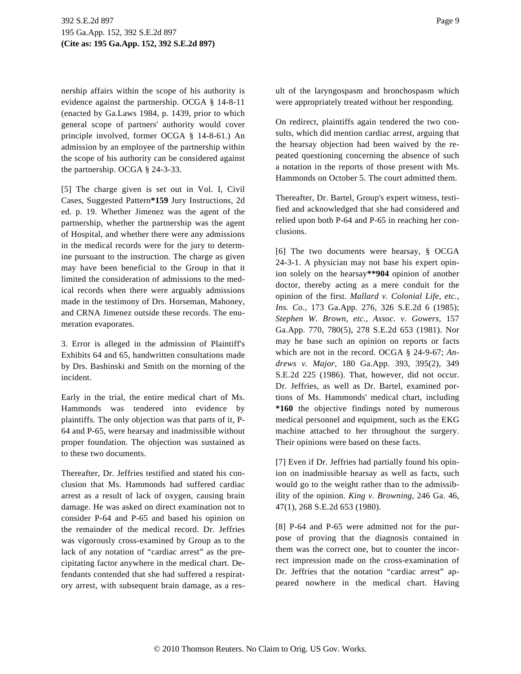nership affairs within the scope of his authority is evidence against the partnership. OCGA § 14-8-11 (enacted by Ga.Laws 1984, p. 1439, prior to which general scope of partners' authority would cover principle involved, former OCGA § 14-8-61.) An admission by an employee of the partnership within the scope of his authority can be considered against the partnership. OCGA § 24-3-33.

[5] The charge given is set out in Vol. I, Civil Cases, Suggested Pattern**\*159** Jury Instructions, 2d ed. p. 19. Whether Jimenez was the agent of the partnership, whether the partnership was the agent of Hospital, and whether there were any admissions in the medical records were for the jury to determine pursuant to the instruction. The charge as given may have been beneficial to the Group in that it limited the consideration of admissions to the medical records when there were arguably admissions made in the testimony of Drs. Horseman, Mahoney, and CRNA Jimenez outside these records. The enumeration evaporates.

3. Error is alleged in the admission of Plaintiff's Exhibits 64 and 65, handwritten consultations made by Drs. Bashinski and Smith on the morning of the incident.

Early in the trial, the entire medical chart of Ms. Hammonds was tendered into evidence by plaintiffs. The only objection was that parts of it, P-64 and P-65, were hearsay and inadmissible without proper foundation. The objection was sustained as to these two documents.

Thereafter, Dr. Jeffries testified and stated his conclusion that Ms. Hammonds had suffered cardiac arrest as a result of lack of oxygen, causing brain damage. He was asked on direct examination not to consider P-64 and P-65 and based his opinion on the remainder of the medical record. Dr. Jeffries was vigorously cross-examined by Group as to the lack of any notation of "cardiac arrest" as the precipitating factor anywhere in the medical chart. Defendants contended that she had suffered a respiratory arrest, with subsequent brain damage, as a result of the laryngospasm and bronchospasm which were appropriately treated without her responding.

On redirect, plaintiffs again tendered the two consults, which did mention cardiac arrest, arguing that the hearsay objection had been waived by the repeated questioning concerning the absence of such a notation in the reports of those present with Ms. Hammonds on October 5. The court admitted them.

Thereafter, Dr. Bartel, Group's expert witness, testified and acknowledged that she had considered and relied upon both P-64 and P-65 in reaching her conclusions.

[6] The two documents were hearsay, § OCGA 24-3-1. A physician may not base his expert opinion solely on the hearsay**\*\*904** opinion of another doctor, thereby acting as a mere conduit for the opinion of the first. *Mallard v. Colonial Life, etc., Ins. Co.,* 173 Ga.App. 276, 326 S.E.2d 6 (1985); *Stephen W. Brown, etc., Assoc. v. Gowers,* 157 Ga.App. 770, 780(5), 278 S.E.2d 653 (1981). Nor may he base such an opinion on reports or facts which are not in the record. OCGA § 24-9-67; *Andrews v. Major,* 180 Ga.App. 393, 395(2), 349 S.E.2d 225 (1986). That, however, did not occur. Dr. Jeffries, as well as Dr. Bartel, examined portions of Ms. Hammonds' medical chart, including **\*160** the objective findings noted by numerous medical personnel and equipment, such as the EKG machine attached to her throughout the surgery. Their opinions were based on these facts.

[7] Even if Dr. Jeffries had partially found his opinion on inadmissible hearsay as well as facts, such would go to the weight rather than to the admissibility of the opinion. *King v. Browning,* 246 Ga. 46, 47(1), 268 S.E.2d 653 (1980).

[8] P-64 and P-65 were admitted not for the purpose of proving that the diagnosis contained in them was the correct one, but to counter the incorrect impression made on the cross-examination of Dr. Jeffries that the notation "cardiac arrest" appeared nowhere in the medical chart. Having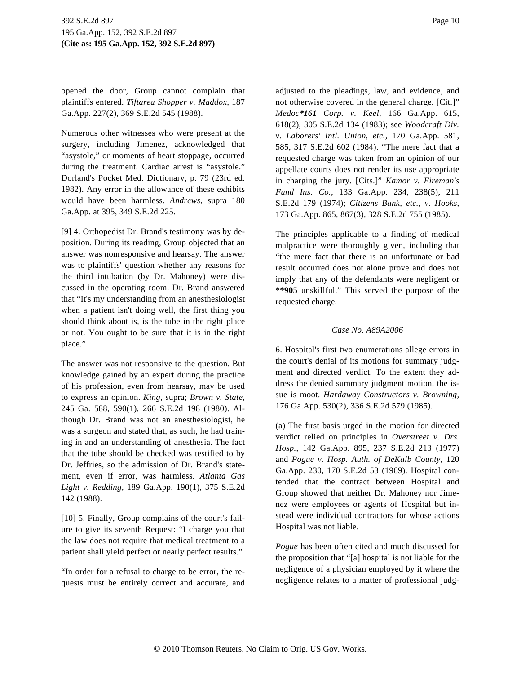opened the door, Group cannot complain that plaintiffs entered. *Tiftarea Shopper v. Maddox,* 187 Ga.App. 227(2), 369 S.E.2d 545 (1988).

Numerous other witnesses who were present at the surgery, including Jimenez, acknowledged that "asystole," or moments of heart stoppage, occurred during the treatment. Cardiac arrest is "asystole." Dorland's Pocket Med. Dictionary, p. 79 (23rd ed. 1982). Any error in the allowance of these exhibits would have been harmless. *Andrews,* supra 180 Ga.App. at 395, 349 S.E.2d 225.

[9] 4. Orthopedist Dr. Brand's testimony was by deposition. During its reading, Group objected that an answer was nonresponsive and hearsay. The answer was to plaintiffs' question whether any reasons for the third intubation (by Dr. Mahoney) were discussed in the operating room. Dr. Brand answered that "It's my understanding from an anesthesiologist when a patient isn't doing well, the first thing you should think about is, is the tube in the right place or not. You ought to be sure that it is in the right place."

The answer was not responsive to the question. But knowledge gained by an expert during the practice of his profession, even from hearsay, may be used to express an opinion. *King,* supra; *Brown v. State,* 245 Ga. 588, 590(1), 266 S.E.2d 198 (1980). Although Dr. Brand was not an anesthesiologist, he was a surgeon and stated that, as such, he had training in and an understanding of anesthesia. The fact that the tube should be checked was testified to by Dr. Jeffries, so the admission of Dr. Brand's statement, even if error, was harmless. *Atlanta Gas Light v. Redding,* 189 Ga.App. 190(1), 375 S.E.2d 142 (1988).

[10] 5. Finally, Group complains of the court's failure to give its seventh Request: "I charge you that the law does not require that medical treatment to a patient shall yield perfect or nearly perfect results."

"In order for a refusal to charge to be error, the requests must be entirely correct and accurate, and adjusted to the pleadings, law, and evidence, and not otherwise covered in the general charge. [Cit.]" *Medoc\*161 Corp. v. Keel,* 166 Ga.App. 615, 618(2), 305 S.E.2d 134 (1983); see *Woodcraft Div. v. Laborers' Intl. Union, etc.,* 170 Ga.App. 581, 585, 317 S.E.2d 602 (1984). "The mere fact that a requested charge was taken from an opinion of our appellate courts does not render its use appropriate in charging the jury. [Cits.]" *Kamor v. Fireman's Fund Ins. Co.,* 133 Ga.App. 234, 238(5), 211 S.E.2d 179 (1974); *Citizens Bank, etc., v. Hooks,* 173 Ga.App. 865, 867(3), 328 S.E.2d 755 (1985).

The principles applicable to a finding of medical malpractice were thoroughly given, including that "the mere fact that there is an unfortunate or bad result occurred does not alone prove and does not imply that any of the defendants were negligent or **\*\*905** unskillful." This served the purpose of the requested charge.

#### *Case No. A89A2006*

6. Hospital's first two enumerations allege errors in the court's denial of its motions for summary judgment and directed verdict. To the extent they address the denied summary judgment motion, the issue is moot. *Hardaway Constructors v. Browning,* 176 Ga.App. 530(2), 336 S.E.2d 579 (1985).

(a) The first basis urged in the motion for directed verdict relied on principles in *Overstreet v. Drs. Hosp.,* 142 Ga.App. 895, 237 S.E.2d 213 (1977) and *Pogue v. Hosp. Auth. of DeKalb County,* 120 Ga.App. 230, 170 S.E.2d 53 (1969). Hospital contended that the contract between Hospital and Group showed that neither Dr. Mahoney nor Jimenez were employees or agents of Hospital but instead were individual contractors for whose actions Hospital was not liable.

*Pogue* has been often cited and much discussed for the proposition that "[a] hospital is not liable for the negligence of a physician employed by it where the negligence relates to a matter of professional judg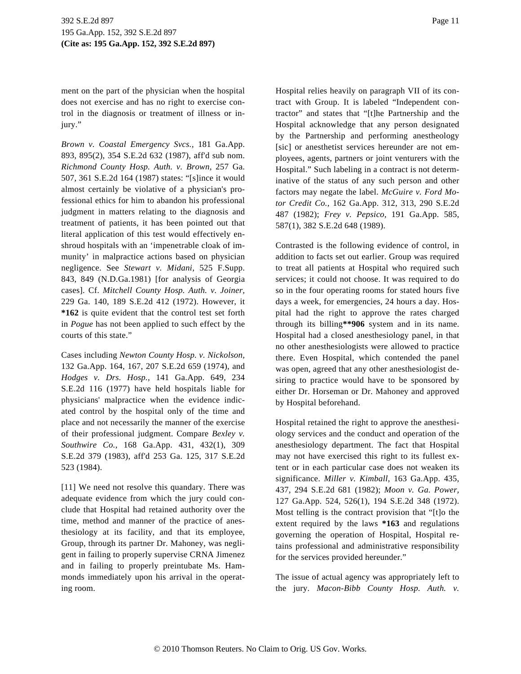ment on the part of the physician when the hospital does not exercise and has no right to exercise control in the diagnosis or treatment of illness or injury."

*Brown v. Coastal Emergency Svcs.,* 181 Ga.App. 893, 895(2), 354 S.E.2d 632 (1987), aff'd sub nom. *Richmond County Hosp. Auth. v. Brown,* 257 Ga. 507, 361 S.E.2d 164 (1987) states: "[s]ince it would almost certainly be violative of a physician's professional ethics for him to abandon his professional judgment in matters relating to the diagnosis and treatment of patients, it has been pointed out that literal application of this test would effectively enshroud hospitals with an 'impenetrable cloak of immunity' in malpractice actions based on physician negligence. See *Stewart v. Midani,* 525 F.Supp. 843, 849 (N.D.Ga.1981) [for analysis of Georgia cases]. Cf. *Mitchell County Hosp. Auth. v. Joiner,* 229 Ga. 140, 189 S.E.2d 412 (1972). However, it **\*162** is quite evident that the control test set forth in *Pogue* has not been applied to such effect by the courts of this state."

Cases including *Newton County Hosp. v. Nickolson,* 132 Ga.App. 164, 167, 207 S.E.2d 659 (1974), and *Hodges v. Drs. Hosp.,* 141 Ga.App. 649, 234 S.E.2d 116 (1977) have held hospitals liable for physicians' malpractice when the evidence indicated control by the hospital only of the time and place and not necessarily the manner of the exercise of their professional judgment. Compare *Bexley v. Southwire Co.,* 168 Ga.App. 431, 432(1), 309 S.E.2d 379 (1983), aff'd 253 Ga. 125, 317 S.E.2d 523 (1984).

[11] We need not resolve this quandary. There was adequate evidence from which the jury could conclude that Hospital had retained authority over the time, method and manner of the practice of anesthesiology at its facility, and that its employee, Group, through its partner Dr. Mahoney, was negligent in failing to properly supervise CRNA Jimenez and in failing to properly preintubate Ms. Hammonds immediately upon his arrival in the operating room.

Hospital relies heavily on paragraph VII of its contract with Group. It is labeled "Independent contractor" and states that "[t]he Partnership and the Hospital acknowledge that any person designated by the Partnership and performing anestheology [sic] or anesthetist services hereunder are not employees, agents, partners or joint venturers with the Hospital." Such labeling in a contract is not determinative of the status of any such person and other factors may negate the label. *McGuire v. Ford Motor Credit Co.,* 162 Ga.App. 312, 313, 290 S.E.2d 487 (1982); *Frey v. Pepsico,* 191 Ga.App. 585, 587(1), 382 S.E.2d 648 (1989).

Contrasted is the following evidence of control, in addition to facts set out earlier. Group was required to treat all patients at Hospital who required such services; it could not choose. It was required to do so in the four operating rooms for stated hours five days a week, for emergencies, 24 hours a day. Hospital had the right to approve the rates charged through its billing**\*\*906** system and in its name. Hospital had a closed anesthesiology panel, in that no other anesthesiologists were allowed to practice there. Even Hospital, which contended the panel was open, agreed that any other anesthesiologist desiring to practice would have to be sponsored by either Dr. Horseman or Dr. Mahoney and approved by Hospital beforehand.

Hospital retained the right to approve the anesthesiology services and the conduct and operation of the anesthesiology department. The fact that Hospital may not have exercised this right to its fullest extent or in each particular case does not weaken its significance. *Miller v. Kimball,* 163 Ga.App. 435, 437, 294 S.E.2d 681 (1982); *Moon v. Ga. Power,* 127 Ga.App. 524, 526(1), 194 S.E.2d 348 (1972). Most telling is the contract provision that "[t]o the extent required by the laws **\*163** and regulations governing the operation of Hospital, Hospital retains professional and administrative responsibility for the services provided hereunder."

The issue of actual agency was appropriately left to the jury. *Macon-Bibb County Hosp. Auth. v.*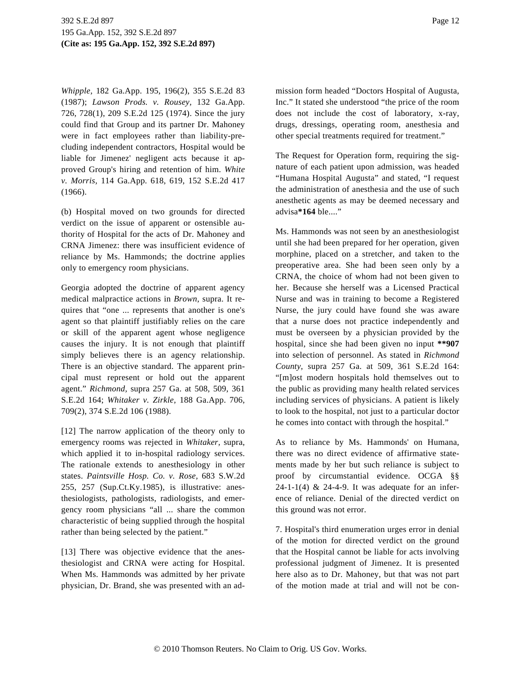*Whipple,* 182 Ga.App. 195, 196(2), 355 S.E.2d 83 (1987); *Lawson Prods. v. Rousey,* 132 Ga.App. 726, 728(1), 209 S.E.2d 125 (1974). Since the jury could find that Group and its partner Dr. Mahoney were in fact employees rather than liability-precluding independent contractors, Hospital would be liable for Jimenez' negligent acts because it approved Group's hiring and retention of him. *White v. Morris,* 114 Ga.App. 618, 619, 152 S.E.2d 417 (1966).

(b) Hospital moved on two grounds for directed verdict on the issue of apparent or ostensible authority of Hospital for the acts of Dr. Mahoney and CRNA Jimenez: there was insufficient evidence of reliance by Ms. Hammonds; the doctrine applies only to emergency room physicians.

Georgia adopted the doctrine of apparent agency medical malpractice actions in *Brown,* supra. It requires that "one ... represents that another is one's agent so that plaintiff justifiably relies on the care or skill of the apparent agent whose negligence causes the injury. It is not enough that plaintiff simply believes there is an agency relationship. There is an objective standard. The apparent principal must represent or hold out the apparent agent." *Richmond,* supra 257 Ga. at 508, 509, 361 S.E.2d 164; *Whitaker v. Zirkle,* 188 Ga.App. 706, 709(2), 374 S.E.2d 106 (1988).

[12] The narrow application of the theory only to emergency rooms was rejected in *Whitaker,* supra, which applied it to in-hospital radiology services. The rationale extends to anesthesiology in other states. *Paintsville Hosp. Co. v. Rose,* 683 S.W.2d 255, 257 (Sup.Ct.Ky.1985), is illustrative: anesthesiologists, pathologists, radiologists, and emergency room physicians "all ... share the common characteristic of being supplied through the hospital rather than being selected by the patient."

[13] There was objective evidence that the anesthesiologist and CRNA were acting for Hospital. When Ms. Hammonds was admitted by her private physician, Dr. Brand, she was presented with an admission form headed "Doctors Hospital of Augusta, Inc." It stated she understood "the price of the room does not include the cost of laboratory, x-ray, drugs, dressings, operating room, anesthesia and other special treatments required for treatment."

The Request for Operation form, requiring the signature of each patient upon admission, was headed "Humana Hospital Augusta" and stated, "I request the administration of anesthesia and the use of such anesthetic agents as may be deemed necessary and advisa**\*164** ble...."

Ms. Hammonds was not seen by an anesthesiologist until she had been prepared for her operation, given morphine, placed on a stretcher, and taken to the preoperative area. She had been seen only by a CRNA, the choice of whom had not been given to her. Because she herself was a Licensed Practical Nurse and was in training to become a Registered Nurse, the jury could have found she was aware that a nurse does not practice independently and must be overseen by a physician provided by the hospital, since she had been given no input **\*\*907** into selection of personnel. As stated in *Richmond County,* supra 257 Ga. at 509, 361 S.E.2d 164: "[m]ost modern hospitals hold themselves out to the public as providing many health related services including services of physicians. A patient is likely to look to the hospital, not just to a particular doctor he comes into contact with through the hospital."

As to reliance by Ms. Hammonds' on Humana, there was no direct evidence of affirmative statements made by her but such reliance is subject to proof by circumstantial evidence. OCGA §§ 24-1-1(4) & 24-4-9. It was adequate for an inference of reliance. Denial of the directed verdict on this ground was not error.

7. Hospital's third enumeration urges error in denial of the motion for directed verdict on the ground that the Hospital cannot be liable for acts involving professional judgment of Jimenez. It is presented here also as to Dr. Mahoney, but that was not part of the motion made at trial and will not be con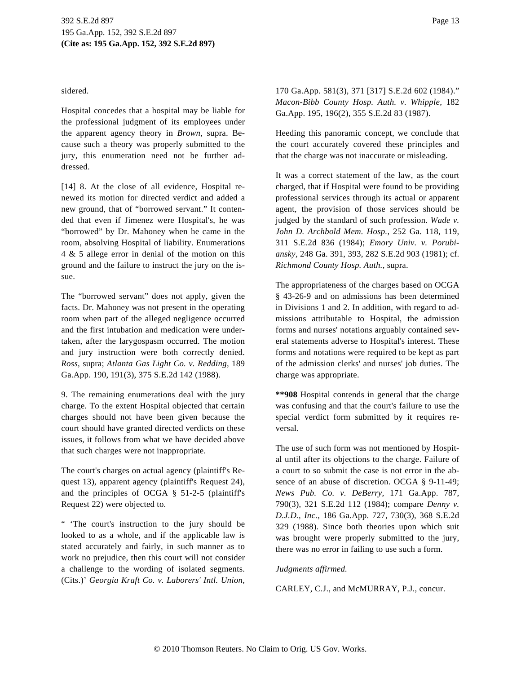sidered.

Hospital concedes that a hospital may be liable for the professional judgment of its employees under the apparent agency theory in *Brown,* supra. Because such a theory was properly submitted to the jury, this enumeration need not be further addressed.

[14] 8. At the close of all evidence, Hospital renewed its motion for directed verdict and added a new ground, that of "borrowed servant." It contended that even if Jimenez were Hospital's, he was "borrowed" by Dr. Mahoney when he came in the room, absolving Hospital of liability. Enumerations 4 & 5 allege error in denial of the motion on this ground and the failure to instruct the jury on the issue.

The "borrowed servant" does not apply, given the facts. Dr. Mahoney was not present in the operating room when part of the alleged negligence occurred and the first intubation and medication were undertaken, after the larygospasm occurred. The motion and jury instruction were both correctly denied. *Ross,* supra; *Atlanta Gas Light Co. v. Redding,* 189 Ga.App. 190, 191(3), 375 S.E.2d 142 (1988).

9. The remaining enumerations deal with the jury charge. To the extent Hospital objected that certain charges should not have been given because the court should have granted directed verdicts on these issues, it follows from what we have decided above that such charges were not inappropriate.

The court's charges on actual agency (plaintiff's Request 13), apparent agency (plaintiff's Request 24), and the principles of OCGA § 51-2-5 (plaintiff's Request 22) were objected to.

" 'The court's instruction to the jury should be looked to as a whole, and if the applicable law is stated accurately and fairly, in such manner as to work no prejudice, then this court will not consider a challenge to the wording of isolated segments. (Cits.)' *Georgia Kraft Co. v. Laborers' Intl. Union,*

170 Ga.App. 581(3), 371 [317] S.E.2d 602 (1984)." *Macon-Bibb County Hosp. Auth. v. Whipple,* 182 Ga.App. 195, 196(2), 355 S.E.2d 83 (1987).

Heeding this panoramic concept, we conclude that the court accurately covered these principles and that the charge was not inaccurate or misleading.

It was a correct statement of the law, as the court charged, that if Hospital were found to be providing professional services through its actual or apparent agent, the provision of those services should be judged by the standard of such profession. *Wade v. John D. Archbold Mem. Hosp.,* 252 Ga. 118, 119, 311 S.E.2d 836 (1984); *Emory Univ. v. Porubiansky,* 248 Ga. 391, 393, 282 S.E.2d 903 (1981); cf. *Richmond County Hosp. Auth.,* supra.

The appropriateness of the charges based on OCGA § 43-26-9 and on admissions has been determined in Divisions 1 and 2. In addition, with regard to admissions attributable to Hospital, the admission forms and nurses' notations arguably contained several statements adverse to Hospital's interest. These forms and notations were required to be kept as part of the admission clerks' and nurses' job duties. The charge was appropriate.

**\*\*908** Hospital contends in general that the charge was confusing and that the court's failure to use the special verdict form submitted by it requires reversal.

The use of such form was not mentioned by Hospital until after its objections to the charge. Failure of a court to so submit the case is not error in the absence of an abuse of discretion. OCGA § 9-11-49; *News Pub. Co. v. DeBerry,* 171 Ga.App. 787, 790(3), 321 S.E.2d 112 (1984); compare *Denny v. D.J.D., Inc.,* 186 Ga.App. 727, 730(3), 368 S.E.2d 329 (1988). Since both theories upon which suit was brought were properly submitted to the jury, there was no error in failing to use such a form.

# *Judgments affirmed.*

CARLEY, C.J., and McMURRAY, P.J., concur.